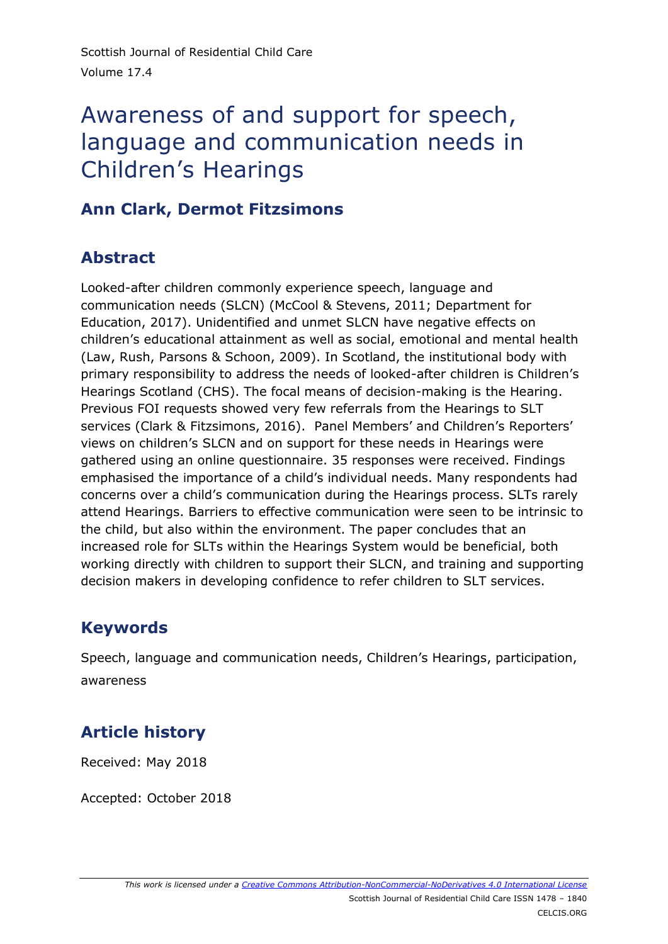# Awareness of and support for speech, language and communication needs in Children's Hearings

### **Ann Clark, Dermot Fitzsimons**

# **Abstract**

Looked-after children commonly experience speech, language and communication needs (SLCN) (McCool & Stevens, 2011; Department for Education, 2017). Unidentified and unmet SLCN have negative effects on children's educational attainment as well as social, emotional and mental health (Law, Rush, Parsons & Schoon, 2009). In Scotland, the institutional body with primary responsibility to address the needs of looked-after children is Children's Hearings Scotland (CHS). The focal means of decision-making is the Hearing. Previous FOI requests showed very few referrals from the Hearings to SLT services (Clark & Fitzsimons, 2016). Panel Members' and Children's Reporters' views on children's SLCN and on support for these needs in Hearings were gathered using an online questionnaire. 35 responses were received. Findings emphasised the importance of a child's individual needs. Many respondents had concerns over a child's communication during the Hearings process. SLTs rarely attend Hearings. Barriers to effective communication were seen to be intrinsic to the child, but also within the environment. The paper concludes that an increased role for SLTs within the Hearings System would be beneficial, both working directly with children to support their SLCN, and training and supporting decision makers in developing confidence to refer children to SLT services.

# **Keywords**

Speech, language and communication needs, Children's Hearings, participation, awareness

# **Article history**

Received: May 2018

Accepted: October 2018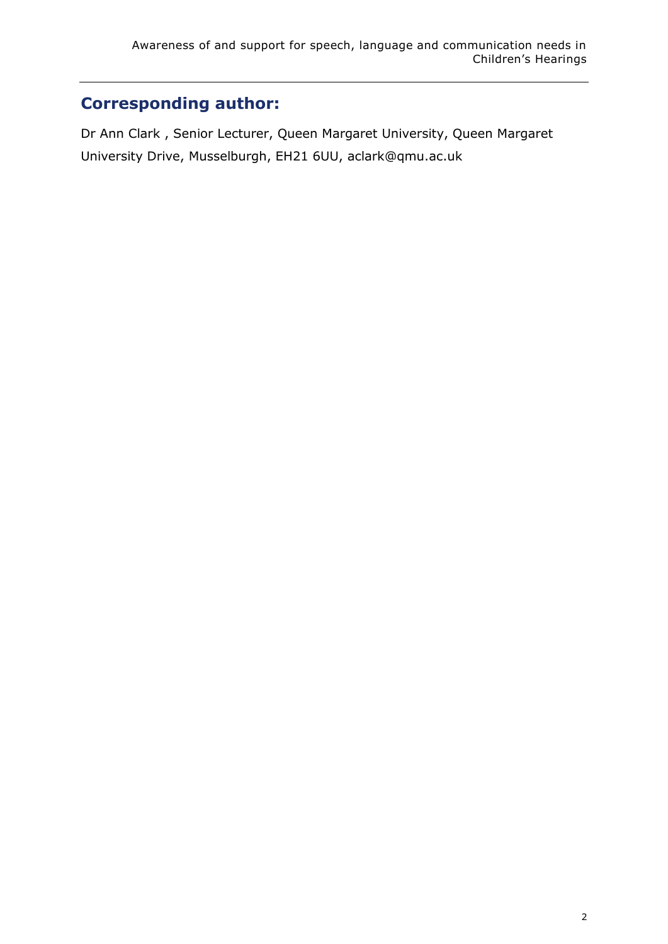# **Corresponding author:**

Dr Ann Clark , Senior Lecturer, Queen Margaret University, Queen Margaret University Drive, Musselburgh, EH21 6UU, aclark@qmu.ac.uk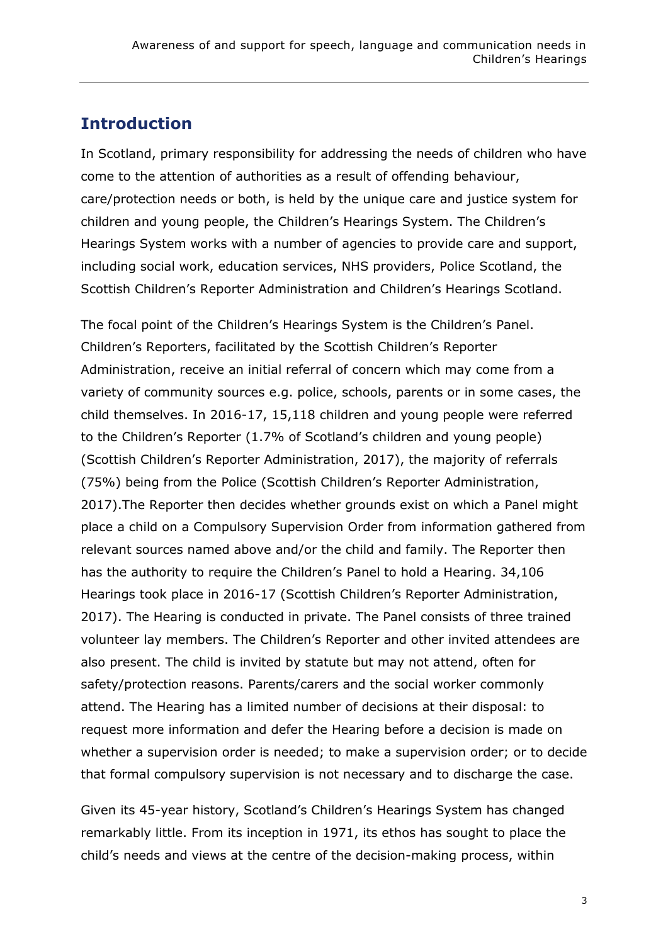### **Introduction**

In Scotland, primary responsibility for addressing the needs of children who have come to the attention of authorities as a result of offending behaviour, care/protection needs or both, is held by the unique care and justice system for children and young people, the Children's Hearings System. The Children's Hearings System works with a number of agencies to provide care and support, including social work, education services, NHS providers, Police Scotland, the Scottish Children's Reporter Administration and Children's Hearings Scotland.

The focal point of the Children's Hearings System is the Children's Panel. Children's Reporters, facilitated by the Scottish Children's Reporter Administration, receive an initial referral of concern which may come from a variety of community sources e.g. police, schools, parents or in some cases, the child themselves. In 2016-17, 15,118 children and young people were referred to the Children's Reporter (1.7% of Scotland's children and young people) (Scottish Children's Reporter Administration, 2017), the majority of referrals (75%) being from the Police (Scottish Children's Reporter Administration, 2017).The Reporter then decides whether grounds exist on which a Panel might place a child on a Compulsory Supervision Order from information gathered from relevant sources named above and/or the child and family. The Reporter then has the authority to require the Children's Panel to hold a Hearing. 34,106 Hearings took place in 2016-17 (Scottish Children's Reporter Administration, 2017). The Hearing is conducted in private. The Panel consists of three trained volunteer lay members. The Children's Reporter and other invited attendees are also present. The child is invited by statute but may not attend, often for safety/protection reasons. Parents/carers and the social worker commonly attend. The Hearing has a limited number of decisions at their disposal: to request more information and defer the Hearing before a decision is made on whether a supervision order is needed; to make a supervision order; or to decide that formal compulsory supervision is not necessary and to discharge the case.

Given its 45-year history, Scotland's Children's Hearings System has changed remarkably little. From its inception in 1971, its ethos has sought to place the child's needs and views at the centre of the decision-making process, within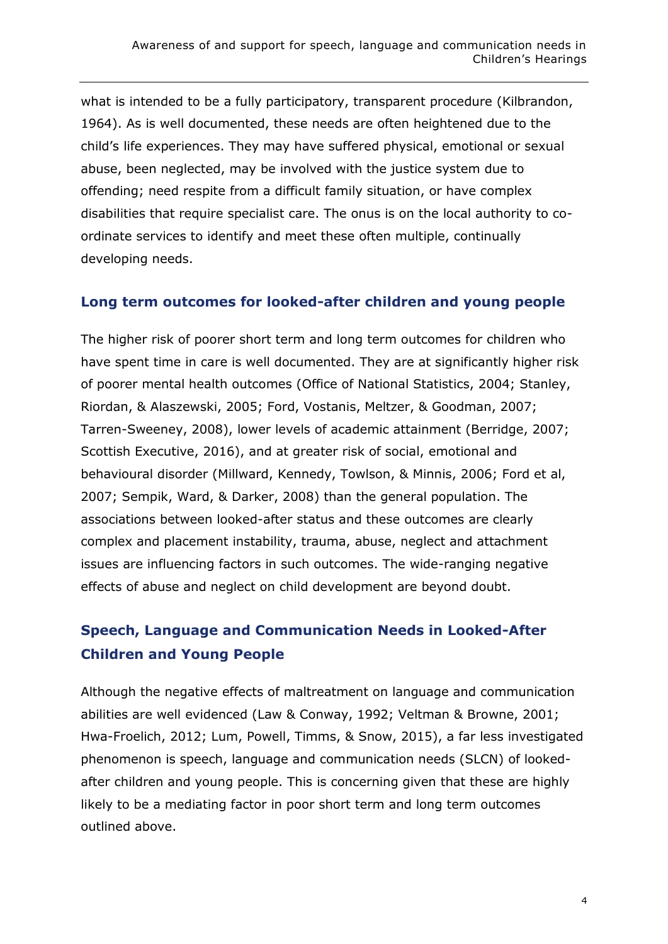what is intended to be a fully participatory, transparent procedure (Kilbrandon, 1964). As is well documented, these needs are often heightened due to the child's life experiences. They may have suffered physical, emotional or sexual abuse, been neglected, may be involved with the justice system due to offending; need respite from a difficult family situation, or have complex disabilities that require specialist care. The onus is on the local authority to coordinate services to identify and meet these often multiple, continually developing needs.

#### **Long term outcomes for looked-after children and young people**

The higher risk of poorer short term and long term outcomes for children who have spent time in care is well documented. They are at significantly higher risk of poorer mental health outcomes (Office of National Statistics, 2004; Stanley, Riordan, & Alaszewski, 2005; Ford, Vostanis, Meltzer, & Goodman, 2007; Tarren-Sweeney, 2008), lower levels of academic attainment (Berridge, 2007; Scottish Executive, 2016), and at greater risk of social, emotional and behavioural disorder (Millward, Kennedy, Towlson, & Minnis, 2006; Ford et al, 2007; Sempik, Ward, & Darker, 2008) than the general population. The associations between looked-after status and these outcomes are clearly complex and placement instability, trauma, abuse, neglect and attachment issues are influencing factors in such outcomes. The wide-ranging negative effects of abuse and neglect on child development are beyond doubt.

# **Speech, Language and Communication Needs in Looked-After Children and Young People**

Although the negative effects of maltreatment on language and communication abilities are well evidenced (Law & Conway, 1992; Veltman & Browne, 2001; Hwa-Froelich, 2012; Lum, Powell, Timms, & Snow, 2015), a far less investigated phenomenon is speech, language and communication needs (SLCN) of lookedafter children and young people. This is concerning given that these are highly likely to be a mediating factor in poor short term and long term outcomes outlined above.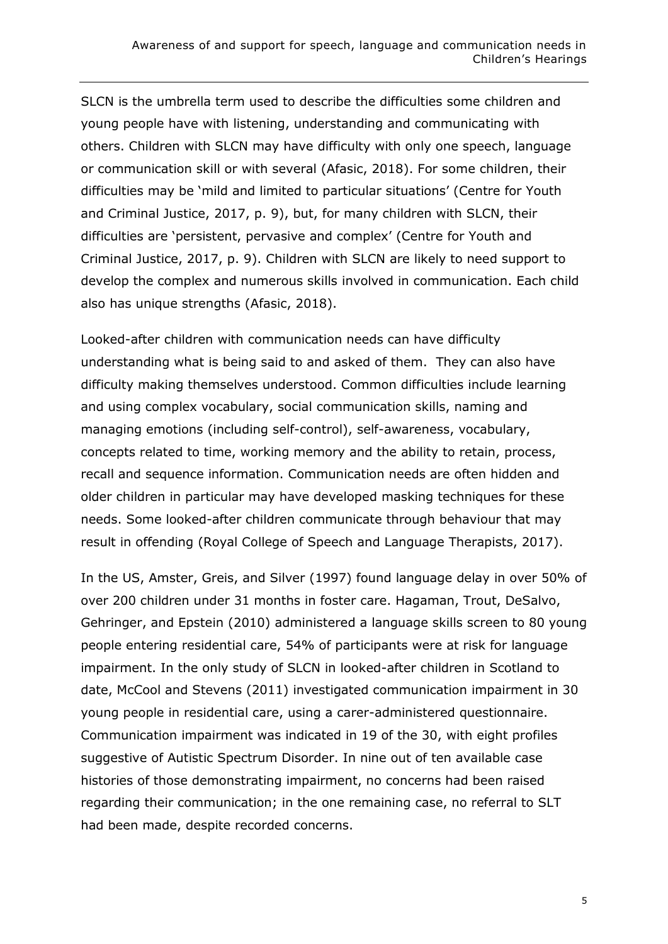SLCN is the umbrella term used to describe the difficulties some children and young people have with listening, understanding and communicating with others. Children with SLCN may have difficulty with only one speech, language or communication skill or with several (Afasic, 2018). For some children, their difficulties may be 'mild and limited to particular situations' (Centre for Youth and Criminal Justice, 2017, p. 9), but, for many children with SLCN, their difficulties are 'persistent, pervasive and complex' (Centre for Youth and Criminal Justice, 2017, p. 9). Children with SLCN are likely to need support to develop the complex and numerous skills involved in communication. Each child also has unique strengths (Afasic, 2018).

Looked-after children with communication needs can have difficulty understanding what is being said to and asked of them. They can also have difficulty making themselves understood. Common difficulties include learning and using complex vocabulary, social communication skills, naming and managing emotions (including self-control), self-awareness, vocabulary, concepts related to time, working memory and the ability to retain, process, recall and sequence information. Communication needs are often hidden and older children in particular may have developed masking techniques for these needs. Some looked-after children communicate through behaviour that may result in offending (Royal College of Speech and Language Therapists, 2017).

In the US, Amster, Greis, and Silver (1997) found language delay in over 50% of over 200 children under 31 months in foster care. Hagaman, Trout, DeSalvo, Gehringer, and Epstein (2010) administered a language skills screen to 80 young people entering residential care, 54% of participants were at risk for language impairment. In the only study of SLCN in looked-after children in Scotland to date, McCool and Stevens (2011) investigated communication impairment in 30 young people in residential care, using a carer-administered questionnaire. Communication impairment was indicated in 19 of the 30, with eight profiles suggestive of Autistic Spectrum Disorder. In nine out of ten available case histories of those demonstrating impairment, no concerns had been raised regarding their communication; in the one remaining case, no referral to SLT had been made, despite recorded concerns.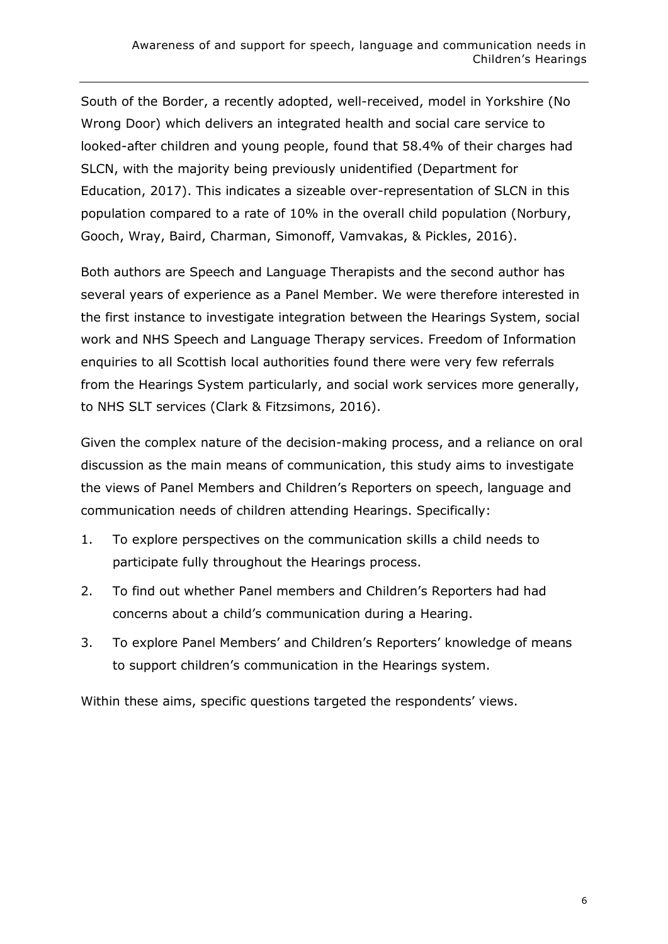South of the Border, a recently adopted, well-received, model in Yorkshire (No Wrong Door) which delivers an integrated health and social care service to looked-after children and young people, found that 58.4% of their charges had SLCN, with the majority being previously unidentified (Department for Education, 2017). This indicates a sizeable over-representation of SLCN in this population compared to a rate of 10% in the overall child population [\(Norbury,](https://onlinelibrary.wiley.com/action/doSearch?ContribAuthorStored=Norbury%2C+Courtenay+Frazier) [Gooch,](https://onlinelibrary.wiley.com/action/doSearch?ContribAuthorStored=Gooch%2C+Debbie) [Wray,](https://onlinelibrary.wiley.com/action/doSearch?ContribAuthorStored=Wray%2C+Charlotte) [Baird,](https://onlinelibrary.wiley.com/action/doSearch?ContribAuthorStored=Baird%2C+Gillian) [Charman,](https://onlinelibrary.wiley.com/action/doSearch?ContribAuthorStored=Charman%2C+Tony) [Simonoff,](https://onlinelibrary.wiley.com/action/doSearch?ContribAuthorStored=Simonoff%2C+Emily) [Vamvakas,](https://onlinelibrary.wiley.com/action/doSearch?ContribAuthorStored=Vamvakas%2C+George) & [Pickles,](https://onlinelibrary.wiley.com/action/doSearch?ContribAuthorStored=Pickles%2C+Andrew) 2016).

Both authors are Speech and Language Therapists and the second author has several years of experience as a Panel Member. We were therefore interested in the first instance to investigate integration between the Hearings System, social work and NHS Speech and Language Therapy services. Freedom of Information enquiries to all Scottish local authorities found there were very few referrals from the Hearings System particularly, and social work services more generally, to NHS SLT services (Clark & Fitzsimons, 2016).

Given the complex nature of the decision-making process, and a reliance on oral discussion as the main means of communication, this study aims to investigate the views of Panel Members and Children's Reporters on speech, language and communication needs of children attending Hearings. Specifically:

- 1. To explore perspectives on the communication skills a child needs to participate fully throughout the Hearings process.
- 2. To find out whether Panel members and Children's Reporters had had concerns about a child's communication during a Hearing.
- 3. To explore Panel Members' and Children's Reporters' knowledge of means to support children's communication in the Hearings system.

Within these aims, specific questions targeted the respondents' views.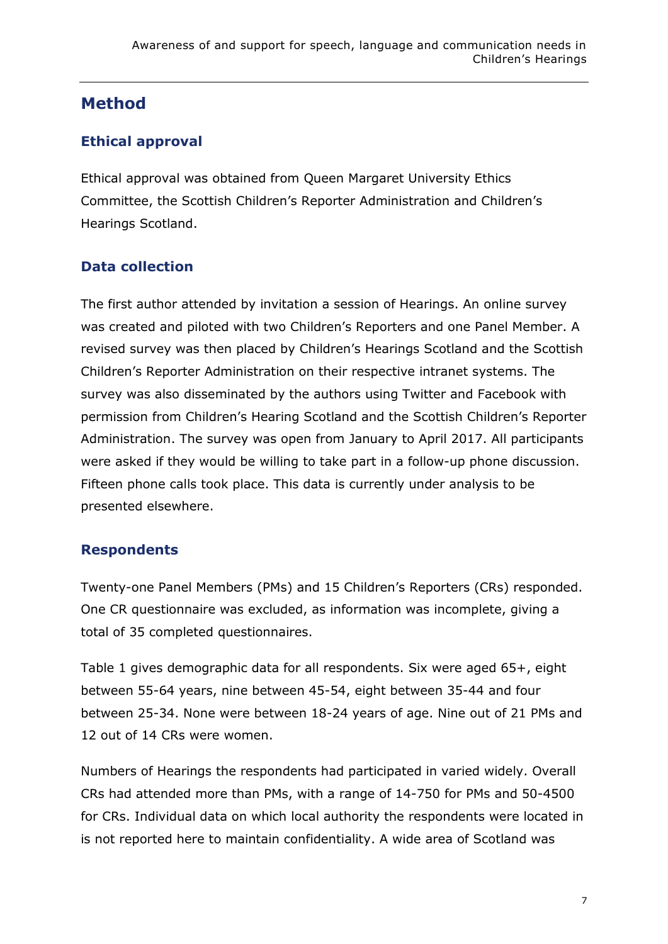### **Method**

#### **Ethical approval**

Ethical approval was obtained from Queen Margaret University Ethics Committee, the Scottish Children's Reporter Administration and Children's Hearings Scotland.

#### **Data collection**

The first author attended by invitation a session of Hearings. An online survey was created and piloted with two Children's Reporters and one Panel Member. A revised survey was then placed by Children's Hearings Scotland and the Scottish Children's Reporter Administration on their respective intranet systems. The survey was also disseminated by the authors using Twitter and Facebook with permission from Children's Hearing Scotland and the Scottish Children's Reporter Administration. The survey was open from January to April 2017. All participants were asked if they would be willing to take part in a follow-up phone discussion. Fifteen phone calls took place. This data is currently under analysis to be presented elsewhere.

#### **Respondents**

Twenty-one Panel Members (PMs) and 15 Children's Reporters (CRs) responded. One CR questionnaire was excluded, as information was incomplete, giving a total of 35 completed questionnaires.

Table 1 gives demographic data for all respondents. Six were aged 65+, eight between 55-64 years, nine between 45-54, eight between 35-44 and four between 25-34. None were between 18-24 years of age. Nine out of 21 PMs and 12 out of 14 CRs were women.

Numbers of Hearings the respondents had participated in varied widely. Overall CRs had attended more than PMs, with a range of 14-750 for PMs and 50-4500 for CRs. Individual data on which local authority the respondents were located in is not reported here to maintain confidentiality. A wide area of Scotland was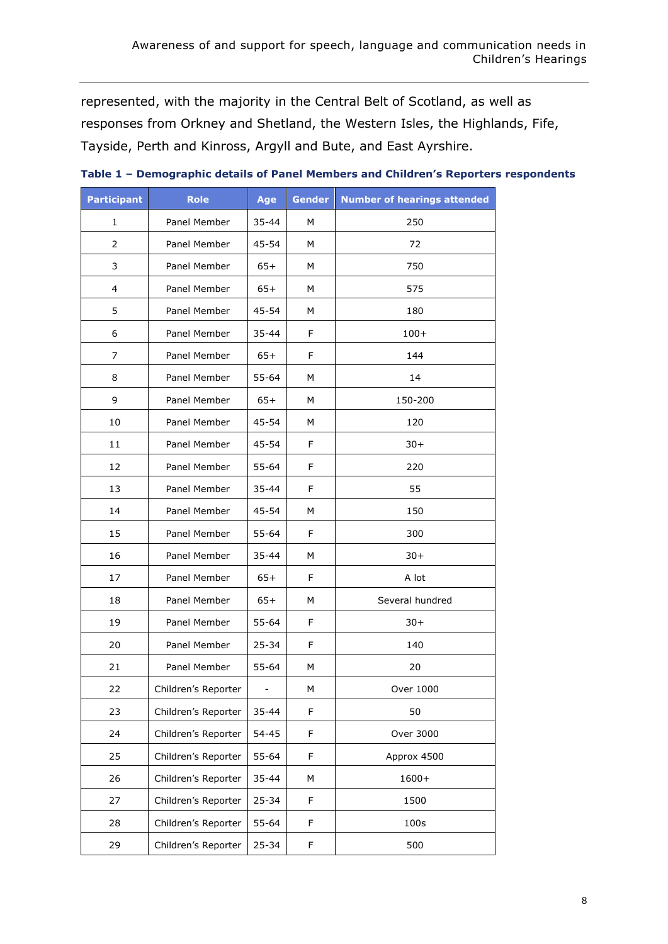represented, with the majority in the Central Belt of Scotland, as well as responses from Orkney and Shetland, the Western Isles, the Highlands, Fife, Tayside, Perth and Kinross, Argyll and Bute, and East Ayrshire.

| <b>Participant</b> | <b>Role</b>         | Age       | <b>Gender</b> | <b>Number of hearings attended</b> |
|--------------------|---------------------|-----------|---------------|------------------------------------|
| 1                  | Panel Member        | $35 - 44$ | М             | 250                                |
| $\overline{2}$     | Panel Member        | 45-54     | м             | 72                                 |
| 3                  | Panel Member        | $65+$     | м             | 750                                |
| 4                  | Panel Member        | $65+$     | M             | 575                                |
| 5                  | Panel Member        | 45-54     | М             | 180                                |
| 6                  | Panel Member        | 35-44     | F.            | $100+$                             |
| 7                  | Panel Member        | $65+$     | F             | 144                                |
| 8                  | Panel Member        | 55-64     | м             | 14                                 |
| 9                  | Panel Member        | $65+$     | м             | 150-200                            |
| 10                 | Panel Member        | 45-54     | M             | 120                                |
| 11                 | Panel Member        | 45-54     | F             | $30+$                              |
| 12                 | Panel Member        | 55-64     | F             | 220                                |
| 13                 | Panel Member        | 35-44     | F             | 55                                 |
| 14                 | Panel Member        | $45 - 54$ | М             | 150                                |
| 15                 | Panel Member        | 55-64     | F.            | 300                                |
| 16                 | Panel Member        | 35-44     | м             | $30+$                              |
| 17                 | Panel Member        | $65+$     | F             | A lot                              |
| 18                 | Panel Member        | $65+$     | М             | Several hundred                    |
| 19                 | Panel Member        | 55-64     | F             | $30+$                              |
| 20                 | Panel Member        | $25 - 34$ | F.            | 140                                |
| 21                 | Panel Member        | 55-64     | М             | 20                                 |
| 22                 | Children's Reporter |           | М             | Over 1000                          |
| 23                 | Children's Reporter | 35-44     | F             | 50                                 |
| 24                 | Children's Reporter | $54 - 45$ | F             | Over 3000                          |
| 25                 | Children's Reporter | 55-64     | F             | Approx 4500                        |
| 26                 | Children's Reporter | $35 - 44$ | ${\sf M}$     | 1600+                              |
| 27                 | Children's Reporter | $25 - 34$ | F             | 1500                               |
| 28                 | Children's Reporter | 55-64     | F             | 100s                               |
| 29                 | Children's Reporter | $25 - 34$ | F             | 500                                |

**Table 1 – Demographic details of Panel Members and Children's Reporters respondents**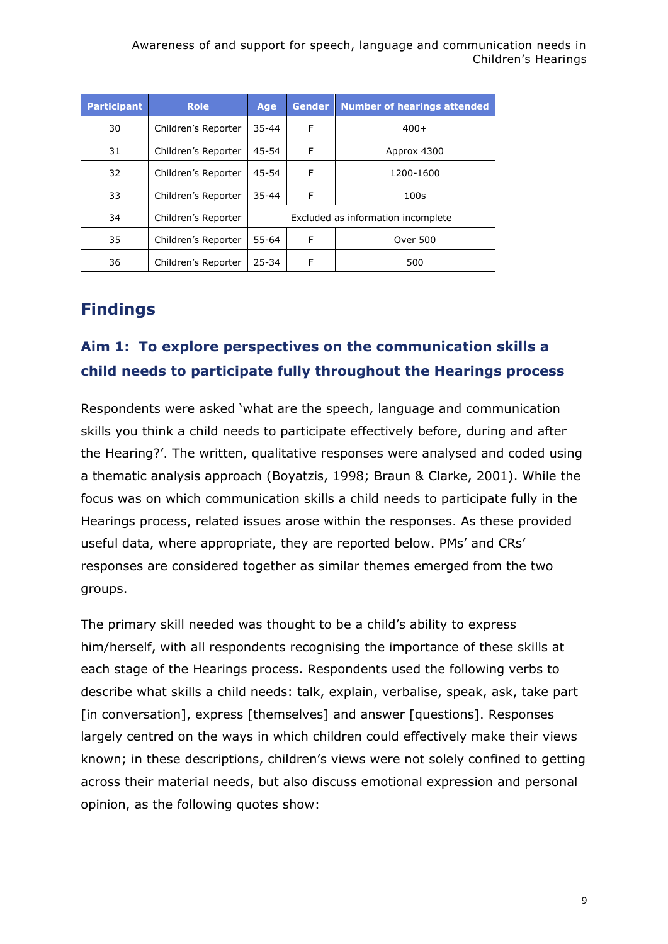Awareness of and support for speech, language and communication needs in Children's Hearings

| <b>Participant</b> | <b>Role</b>         | Age                                | Gender | <b>Number of hearings attended</b> |
|--------------------|---------------------|------------------------------------|--------|------------------------------------|
| 30                 | Children's Reporter | $35 - 44$                          | F      | $400+$                             |
| 31                 | Children's Reporter | $45 - 54$                          | F      | Approx 4300                        |
| 32                 | Children's Reporter | 45-54                              | F      | 1200-1600                          |
| 33                 | Children's Reporter | $35 - 44$                          | F      | 100 <sub>S</sub>                   |
| 34                 | Children's Reporter | Excluded as information incomplete |        |                                    |
| 35                 | Children's Reporter | $55 - 64$                          | F      | <b>Over 500</b>                    |
| 36                 | Children's Reporter | $25 - 34$                          | F      | 500                                |

### **Findings**

### **Aim 1: To explore perspectives on the communication skills a child needs to participate fully throughout the Hearings process**

Respondents were asked 'what are the speech, language and communication skills you think a child needs to participate effectively before, during and after the Hearing?'. The written, qualitative responses were analysed and coded using a thematic analysis approach (Boyatzis, 1998; Braun & Clarke, 2001). While the focus was on which communication skills a child needs to participate fully in the Hearings process, related issues arose within the responses. As these provided useful data, where appropriate, they are reported below. PMs' and CRs' responses are considered together as similar themes emerged from the two groups.

The primary skill needed was thought to be a child's ability to express him/herself, with all respondents recognising the importance of these skills at each stage of the Hearings process. Respondents used the following verbs to describe what skills a child needs: talk, explain, verbalise, speak, ask, take part [in conversation], express [themselves] and answer [questions]. Responses largely centred on the ways in which children could effectively make their views known; in these descriptions, children's views were not solely confined to getting across their material needs, but also discuss emotional expression and personal opinion, as the following quotes show: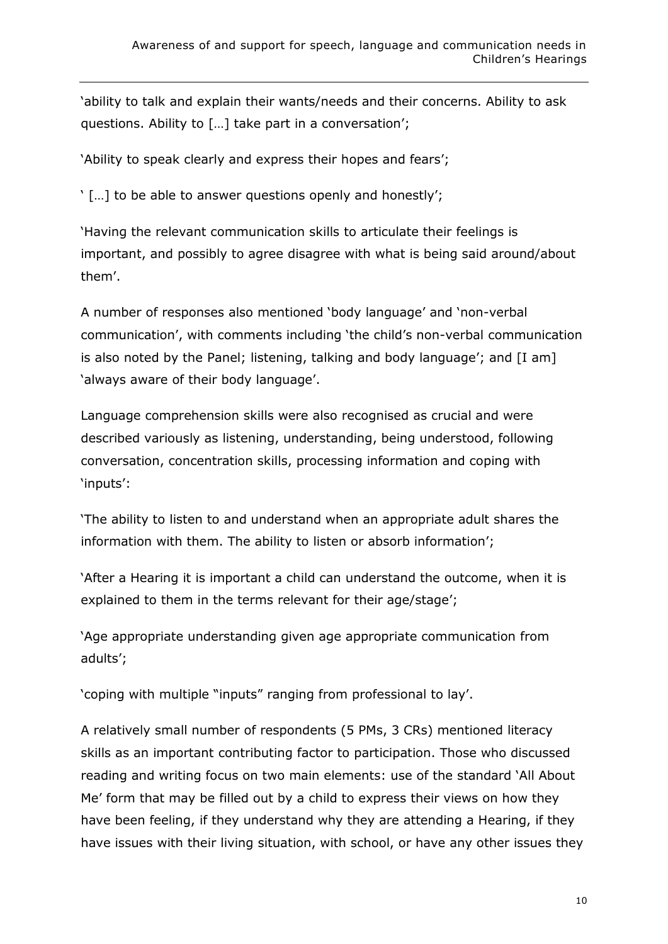'ability to talk and explain their wants/needs and their concerns. Ability to ask questions. Ability to […] take part in a conversation';

'Ability to speak clearly and express their hopes and fears';

' […] to be able to answer questions openly and honestly';

'Having the relevant communication skills to articulate their feelings is important, and possibly to agree disagree with what is being said around/about them'.

A number of responses also mentioned 'body language' and 'non-verbal communication', with comments including 'the child's non-verbal communication is also noted by the Panel; listening, talking and body language'; and [I am] 'always aware of their body language'.

Language comprehension skills were also recognised as crucial and were described variously as listening, understanding, being understood, following conversation, concentration skills, processing information and coping with 'inputs':

'The ability to listen to and understand when an appropriate adult shares the information with them. The ability to listen or absorb information';

'After a Hearing it is important a child can understand the outcome, when it is explained to them in the terms relevant for their age/stage';

'Age appropriate understanding given age appropriate communication from adults';

'coping with multiple "inputs" ranging from professional to lay'.

A relatively small number of respondents (5 PMs, 3 CRs) mentioned literacy skills as an important contributing factor to participation. Those who discussed reading and writing focus on two main elements: use of the standard 'All About Me' form that may be filled out by a child to express their views on how they have been feeling, if they understand why they are attending a Hearing, if they have issues with their living situation, with school, or have any other issues they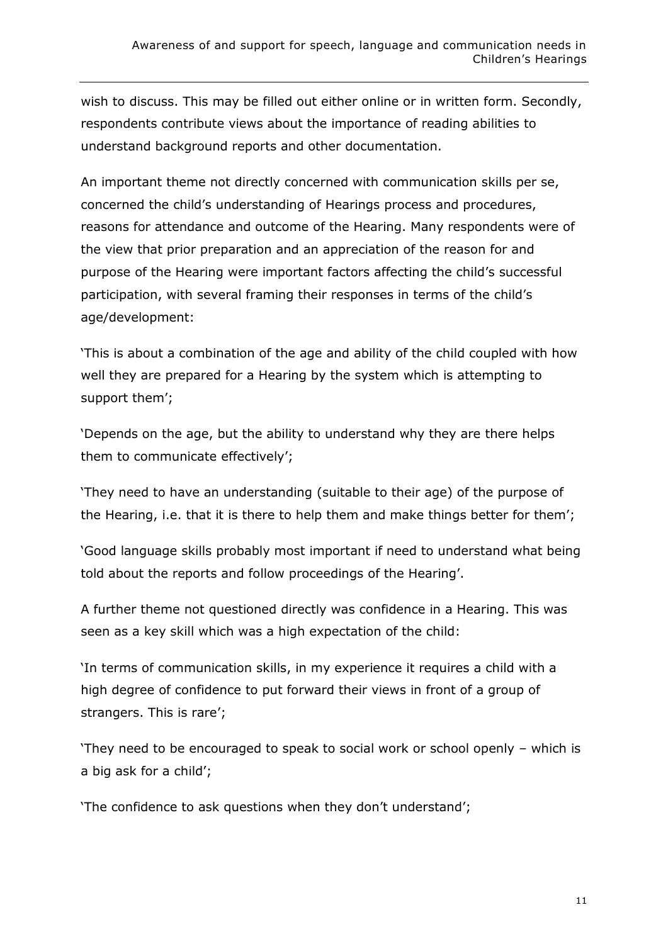wish to discuss. This may be filled out either online or in written form. Secondly, respondents contribute views about the importance of reading abilities to understand background reports and other documentation.

An important theme not directly concerned with communication skills per se, concerned the child's understanding of Hearings process and procedures, reasons for attendance and outcome of the Hearing. Many respondents were of the view that prior preparation and an appreciation of the reason for and purpose of the Hearing were important factors affecting the child's successful participation, with several framing their responses in terms of the child's age/development:

'This is about a combination of the age and ability of the child coupled with how well they are prepared for a Hearing by the system which is attempting to support them';

'Depends on the age, but the ability to understand why they are there helps them to communicate effectively';

'They need to have an understanding (suitable to their age) of the purpose of the Hearing, i.e. that it is there to help them and make things better for them';

'Good language skills probably most important if need to understand what being told about the reports and follow proceedings of the Hearing'.

A further theme not questioned directly was confidence in a Hearing. This was seen as a key skill which was a high expectation of the child:

'In terms of communication skills, in my experience it requires a child with a high degree of confidence to put forward their views in front of a group of strangers. This is rare';

'They need to be encouraged to speak to social work or school openly – which is a big ask for a child';

'The confidence to ask questions when they don't understand';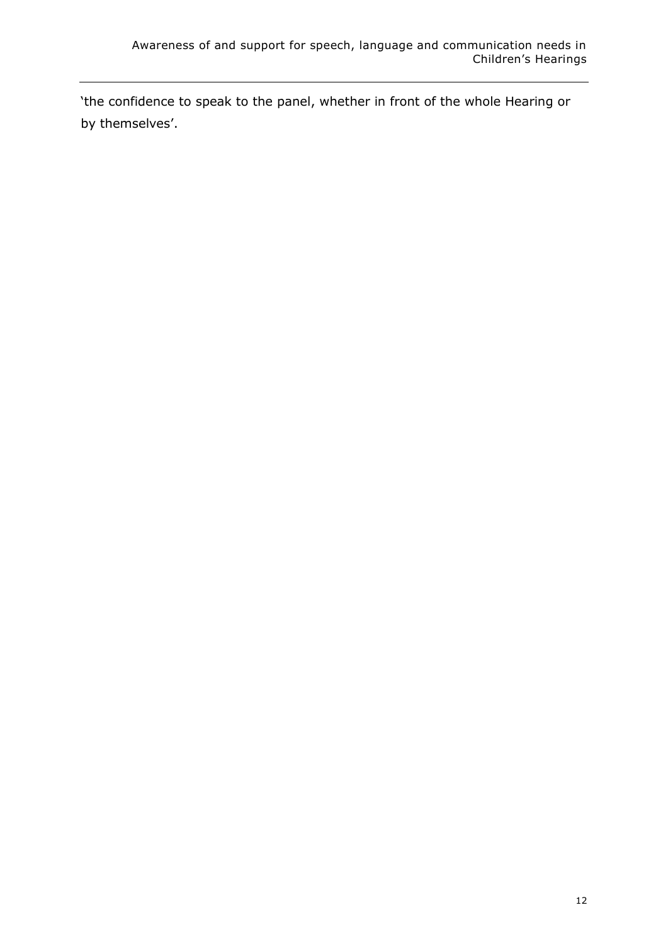'the confidence to speak to the panel, whether in front of the whole Hearing or by themselves'.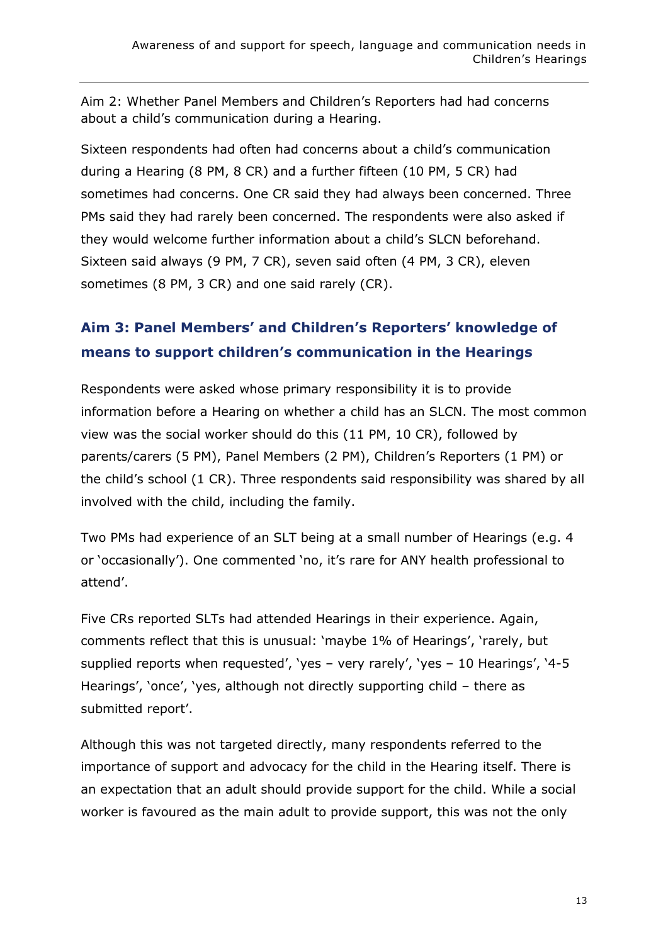Aim 2: Whether Panel Members and Children's Reporters had had concerns about a child's communication during a Hearing.

Sixteen respondents had often had concerns about a child's communication during a Hearing (8 PM, 8 CR) and a further fifteen (10 PM, 5 CR) had sometimes had concerns. One CR said they had always been concerned. Three PMs said they had rarely been concerned. The respondents were also asked if they would welcome further information about a child's SLCN beforehand. Sixteen said always (9 PM, 7 CR), seven said often (4 PM, 3 CR), eleven sometimes (8 PM, 3 CR) and one said rarely (CR).

# **Aim 3: Panel Members' and Children's Reporters' knowledge of means to support children's communication in the Hearings**

Respondents were asked whose primary responsibility it is to provide information before a Hearing on whether a child has an SLCN. The most common view was the social worker should do this (11 PM, 10 CR), followed by parents/carers (5 PM), Panel Members (2 PM), Children's Reporters (1 PM) or the child's school (1 CR). Three respondents said responsibility was shared by all involved with the child, including the family.

Two PMs had experience of an SLT being at a small number of Hearings (e.g. 4 or 'occasionally'). One commented 'no, it's rare for ANY health professional to attend'.

Five CRs reported SLTs had attended Hearings in their experience. Again, comments reflect that this is unusual: 'maybe 1% of Hearings', 'rarely, but supplied reports when requested', 'yes – very rarely', 'yes – 10 Hearings', '4-5 Hearings', 'once', 'yes, although not directly supporting child – there as submitted report'.

Although this was not targeted directly, many respondents referred to the importance of support and advocacy for the child in the Hearing itself. There is an expectation that an adult should provide support for the child. While a social worker is favoured as the main adult to provide support, this was not the only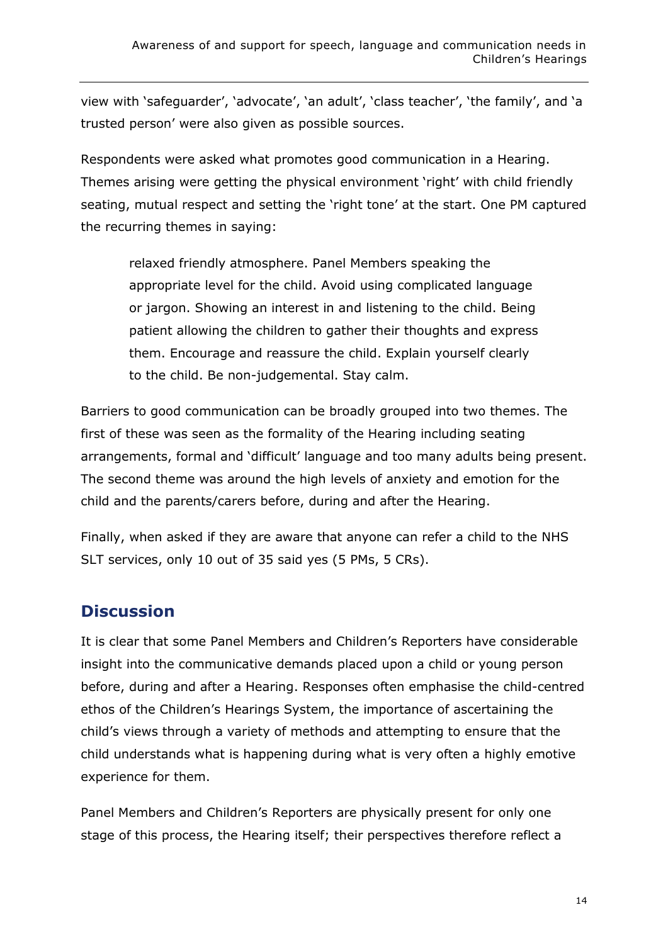view with 'safeguarder', 'advocate', 'an adult', 'class teacher', 'the family', and 'a trusted person' were also given as possible sources.

Respondents were asked what promotes good communication in a Hearing. Themes arising were getting the physical environment 'right' with child friendly seating, mutual respect and setting the 'right tone' at the start. One PM captured the recurring themes in saying:

relaxed friendly atmosphere. Panel Members speaking the appropriate level for the child. Avoid using complicated language or jargon. Showing an interest in and listening to the child. Being patient allowing the children to gather their thoughts and express them. Encourage and reassure the child. Explain yourself clearly to the child. Be non-judgemental. Stay calm.

Barriers to good communication can be broadly grouped into two themes. The first of these was seen as the formality of the Hearing including seating arrangements, formal and 'difficult' language and too many adults being present. The second theme was around the high levels of anxiety and emotion for the child and the parents/carers before, during and after the Hearing.

Finally, when asked if they are aware that anyone can refer a child to the NHS SLT services, only 10 out of 35 said yes (5 PMs, 5 CRs).

# **Discussion**

It is clear that some Panel Members and Children's Reporters have considerable insight into the communicative demands placed upon a child or young person before, during and after a Hearing. Responses often emphasise the child-centred ethos of the Children's Hearings System, the importance of ascertaining the child's views through a variety of methods and attempting to ensure that the child understands what is happening during what is very often a highly emotive experience for them.

Panel Members and Children's Reporters are physically present for only one stage of this process, the Hearing itself; their perspectives therefore reflect a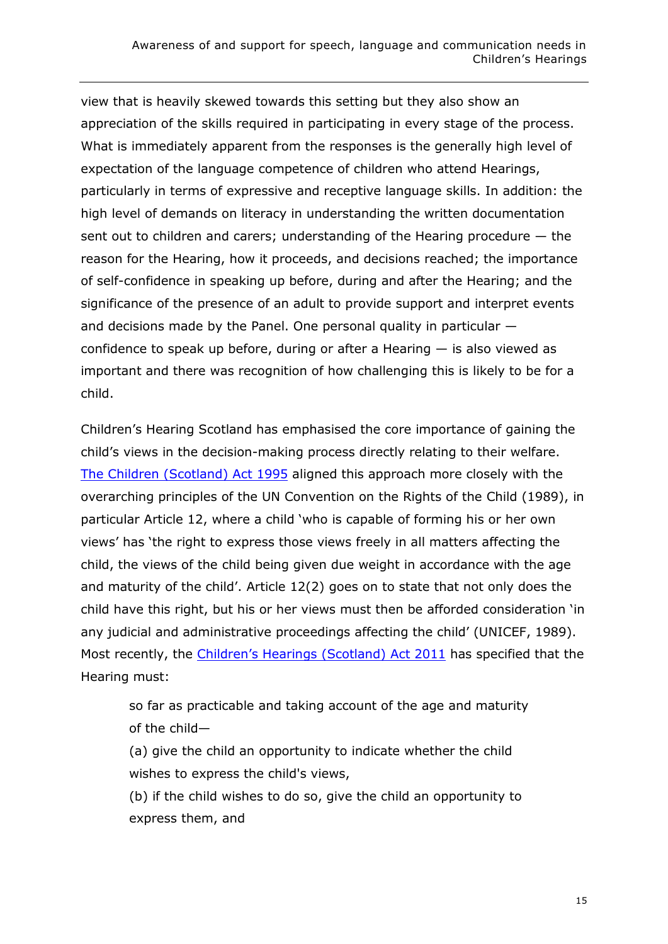view that is heavily skewed towards this setting but they also show an appreciation of the skills required in participating in every stage of the process. What is immediately apparent from the responses is the generally high level of expectation of the language competence of children who attend Hearings, particularly in terms of expressive and receptive language skills. In addition: the high level of demands on literacy in understanding the written documentation sent out to children and carers; understanding of the Hearing procedure — the reason for the Hearing, how it proceeds, and decisions reached; the importance of self-confidence in speaking up before, during and after the Hearing; and the significance of the presence of an adult to provide support and interpret events and decisions made by the Panel. One personal quality in particular confidence to speak up before, during or after a Hearing  $-$  is also viewed as important and there was recognition of how challenging this is likely to be for a child.

Children's Hearing Scotland has emphasised the core importance of gaining the child's views in the decision-making process directly relating to their welfare. [The Children \(Scotland\) Act 1995](https://www.legislation.gov.uk/ukpga/1995/36/contents) aligned this approach more closely with the overarching principles of the UN Convention on the Rights of the Child (1989), in particular Article 12, where a child 'who is capable of forming his or her own views' has 'the right to express those views freely in all matters affecting the child, the views of the child being given due weight in accordance with the age and maturity of the child'. Article 12(2) goes on to state that not only does the child have this right, but his or her views must then be afforded consideration 'in any judicial and administrative proceedings affecting the child' (UNICEF, 1989). Most recently, the [Children's Hearings \(Scotland\) Act 2011](https://www.legislation.gov.uk/asp/2011/1/contents) has specified that the Hearing must:

so far as practicable and taking account of the age and maturity of the child—

(a) give the child an opportunity to indicate whether the child wishes to express the child's views,

(b) if the child wishes to do so, give the child an opportunity to express them, and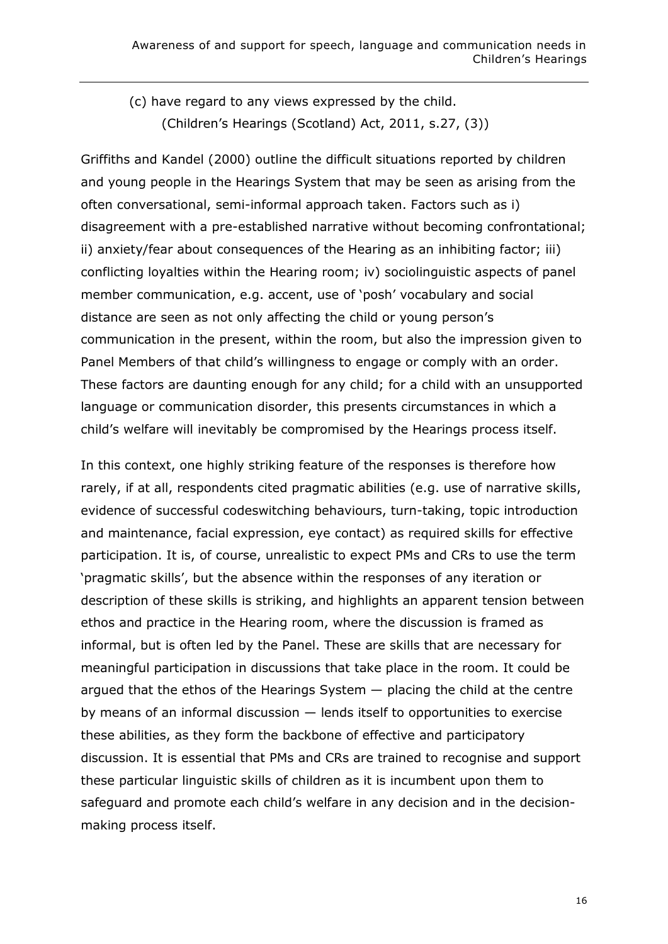(c) have regard to any views expressed by the child. (Children's Hearings (Scotland) Act, 2011, s.27, (3))

Griffiths and Kandel (2000) outline the difficult situations reported by children and young people in the Hearings System that may be seen as arising from the often conversational, semi-informal approach taken. Factors such as i) disagreement with a pre-established narrative without becoming confrontational; ii) anxiety/fear about consequences of the Hearing as an inhibiting factor; iii) conflicting loyalties within the Hearing room; iv) sociolinguistic aspects of panel member communication, e.g. accent, use of 'posh' vocabulary and social distance are seen as not only affecting the child or young person's communication in the present, within the room, but also the impression given to Panel Members of that child's willingness to engage or comply with an order. These factors are daunting enough for any child; for a child with an unsupported language or communication disorder, this presents circumstances in which a child's welfare will inevitably be compromised by the Hearings process itself.

In this context, one highly striking feature of the responses is therefore how rarely, if at all, respondents cited pragmatic abilities (e.g. use of narrative skills, evidence of successful codeswitching behaviours, turn-taking, topic introduction and maintenance, facial expression, eye contact) as required skills for effective participation. It is, of course, unrealistic to expect PMs and CRs to use the term 'pragmatic skills', but the absence within the responses of any iteration or description of these skills is striking, and highlights an apparent tension between ethos and practice in the Hearing room, where the discussion is framed as informal, but is often led by the Panel. These are skills that are necessary for meaningful participation in discussions that take place in the room. It could be argued that the ethos of the Hearings System — placing the child at the centre by means of an informal discussion — lends itself to opportunities to exercise these abilities, as they form the backbone of effective and participatory discussion. It is essential that PMs and CRs are trained to recognise and support these particular linguistic skills of children as it is incumbent upon them to safeguard and promote each child's welfare in any decision and in the decisionmaking process itself.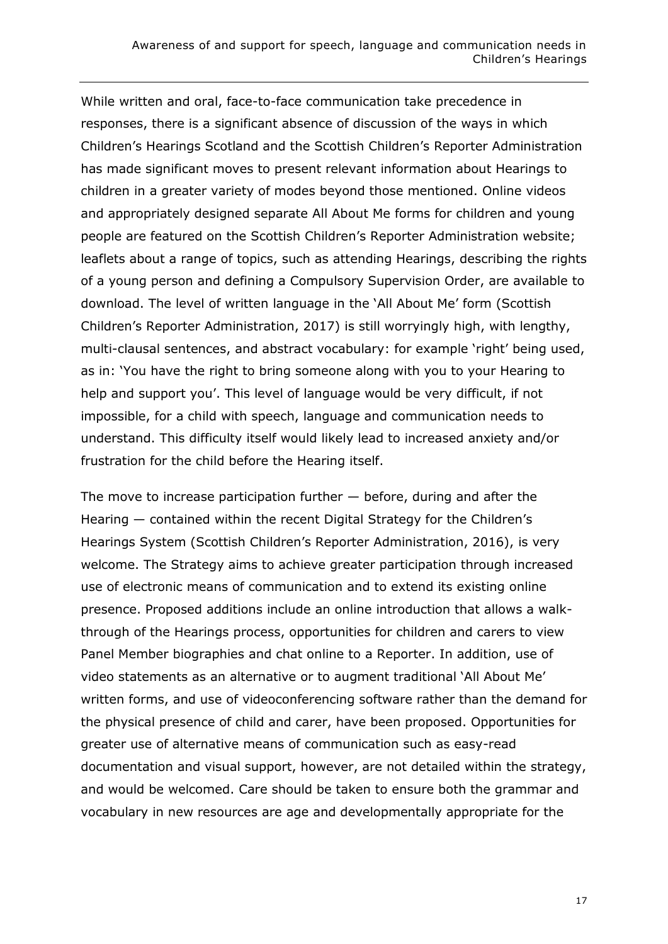While written and oral, face-to-face communication take precedence in responses, there is a significant absence of discussion of the ways in which Children's Hearings Scotland and the Scottish Children's Reporter Administration has made significant moves to present relevant information about Hearings to children in a greater variety of modes beyond those mentioned. Online videos and appropriately designed separate All About Me forms for children and young people are featured on the Scottish Children's Reporter Administration website; leaflets about a range of topics, such as attending Hearings, describing the rights of a young person and defining a Compulsory Supervision Order, are available to download. The level of written language in the 'All About Me' form (Scottish Children's Reporter Administration, 2017) is still worryingly high, with lengthy, multi-clausal sentences, and abstract vocabulary: for example 'right' being used, as in: 'You have the right to bring someone along with you to your Hearing to help and support you'. This level of language would be very difficult, if not impossible, for a child with speech, language and communication needs to understand. This difficulty itself would likely lead to increased anxiety and/or frustration for the child before the Hearing itself.

The move to increase participation further  $-$  before, during and after the Hearing — contained within the recent Digital Strategy for the Children's Hearings System (Scottish Children's Reporter Administration, 2016), is very welcome. The Strategy aims to achieve greater participation through increased use of electronic means of communication and to extend its existing online presence. Proposed additions include an online introduction that allows a walkthrough of the Hearings process, opportunities for children and carers to view Panel Member biographies and chat online to a Reporter. In addition, use of video statements as an alternative or to augment traditional 'All About Me' written forms, and use of videoconferencing software rather than the demand for the physical presence of child and carer, have been proposed. Opportunities for greater use of alternative means of communication such as easy-read documentation and visual support, however, are not detailed within the strategy, and would be welcomed. Care should be taken to ensure both the grammar and vocabulary in new resources are age and developmentally appropriate for the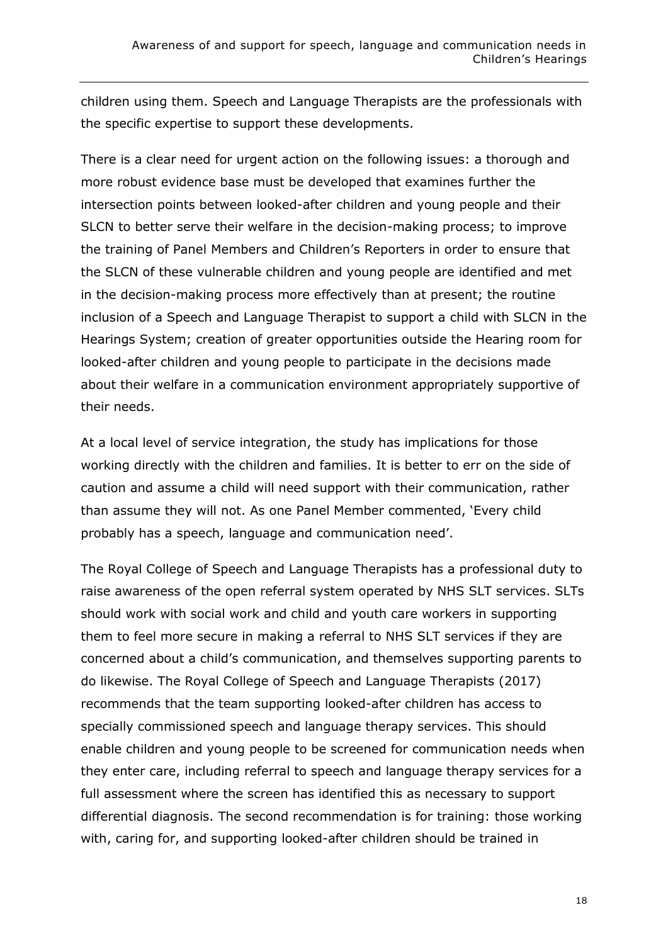children using them. Speech and Language Therapists are the professionals with the specific expertise to support these developments.

There is a clear need for urgent action on the following issues: a thorough and more robust evidence base must be developed that examines further the intersection points between looked-after children and young people and their SLCN to better serve their welfare in the decision-making process; to improve the training of Panel Members and Children's Reporters in order to ensure that the SLCN of these vulnerable children and young people are identified and met in the decision-making process more effectively than at present; the routine inclusion of a Speech and Language Therapist to support a child with SLCN in the Hearings System; creation of greater opportunities outside the Hearing room for looked-after children and young people to participate in the decisions made about their welfare in a communication environment appropriately supportive of their needs.

At a local level of service integration, the study has implications for those working directly with the children and families. It is better to err on the side of caution and assume a child will need support with their communication, rather than assume they will not. As one Panel Member commented, 'Every child probably has a speech, language and communication need'.

The Royal College of Speech and Language Therapists has a professional duty to raise awareness of the open referral system operated by NHS SLT services. SLTs should work with social work and child and youth care workers in supporting them to feel more secure in making a referral to NHS SLT services if they are concerned about a child's communication, and themselves supporting parents to do likewise. The Royal College of Speech and Language Therapists (2017) recommends that the team supporting looked-after children has access to specially commissioned speech and language therapy services. This should enable children and young people to be screened for communication needs when they enter care, including referral to speech and language therapy services for a full assessment where the screen has identified this as necessary to support differential diagnosis. The second recommendation is for training: those working with, caring for, and supporting looked-after children should be trained in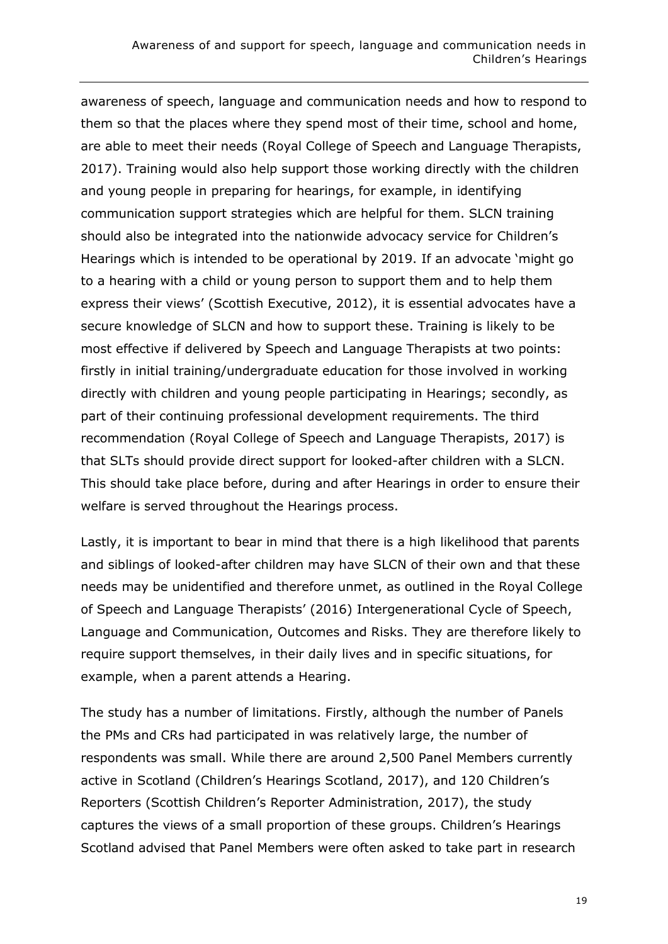awareness of speech, language and communication needs and how to respond to them so that the places where they spend most of their time, school and home, are able to meet their needs (Royal College of Speech and Language Therapists, 2017). Training would also help support those working directly with the children and young people in preparing for hearings, for example, in identifying communication support strategies which are helpful for them. SLCN training should also be integrated into the nationwide advocacy service for Children's Hearings which is intended to be operational by 2019. If an advocate 'might go to a hearing with a child or young person to support them and to help them express their views' (Scottish Executive, 2012), it is essential advocates have a secure knowledge of SLCN and how to support these. Training is likely to be most effective if delivered by Speech and Language Therapists at two points: firstly in initial training/undergraduate education for those involved in working directly with children and young people participating in Hearings; secondly, as part of their continuing professional development requirements. The third recommendation (Royal College of Speech and Language Therapists, 2017) is that SLTs should provide direct support for looked-after children with a SLCN. This should take place before, during and after Hearings in order to ensure their welfare is served throughout the Hearings process.

Lastly, it is important to bear in mind that there is a high likelihood that parents and siblings of looked-after children may have SLCN of their own and that these needs may be unidentified and therefore unmet, as outlined in the Royal College of Speech and Language Therapists' (2016) Intergenerational Cycle of Speech, Language and Communication, Outcomes and Risks. They are therefore likely to require support themselves, in their daily lives and in specific situations, for example, when a parent attends a Hearing.

The study has a number of limitations. Firstly, although the number of Panels the PMs and CRs had participated in was relatively large, the number of respondents was small. While there are around 2,500 Panel Members currently active in Scotland (Children's Hearings Scotland, 2017), and 120 Children's Reporters (Scottish Children's Reporter Administration, 2017), the study captures the views of a small proportion of these groups. Children's Hearings Scotland advised that Panel Members were often asked to take part in research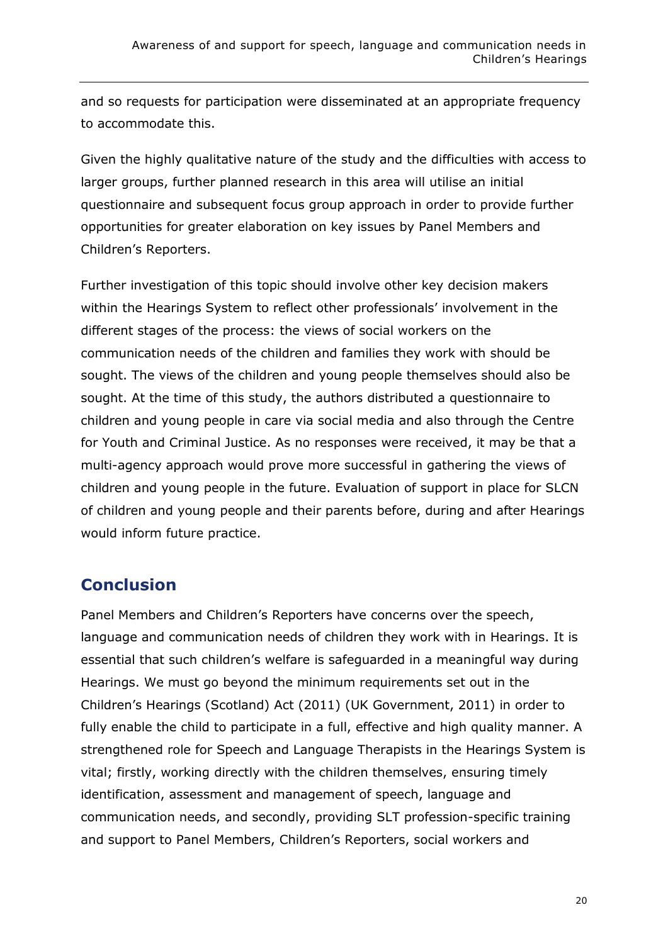and so requests for participation were disseminated at an appropriate frequency to accommodate this.

Given the highly qualitative nature of the study and the difficulties with access to larger groups, further planned research in this area will utilise an initial questionnaire and subsequent focus group approach in order to provide further opportunities for greater elaboration on key issues by Panel Members and Children's Reporters.

Further investigation of this topic should involve other key decision makers within the Hearings System to reflect other professionals' involvement in the different stages of the process: the views of social workers on the communication needs of the children and families they work with should be sought. The views of the children and young people themselves should also be sought. At the time of this study, the authors distributed a questionnaire to children and young people in care via social media and also through the Centre for Youth and Criminal Justice. As no responses were received, it may be that a multi-agency approach would prove more successful in gathering the views of children and young people in the future. Evaluation of support in place for SLCN of children and young people and their parents before, during and after Hearings would inform future practice.

### **Conclusion**

Panel Members and Children's Reporters have concerns over the speech, language and communication needs of children they work with in Hearings. It is essential that such children's welfare is safeguarded in a meaningful way during Hearings. We must go beyond the minimum requirements set out in the Children's Hearings (Scotland) Act (2011) (UK Government, 2011) in order to fully enable the child to participate in a full, effective and high quality manner. A strengthened role for Speech and Language Therapists in the Hearings System is vital; firstly, working directly with the children themselves, ensuring timely identification, assessment and management of speech, language and communication needs, and secondly, providing SLT profession-specific training and support to Panel Members, Children's Reporters, social workers and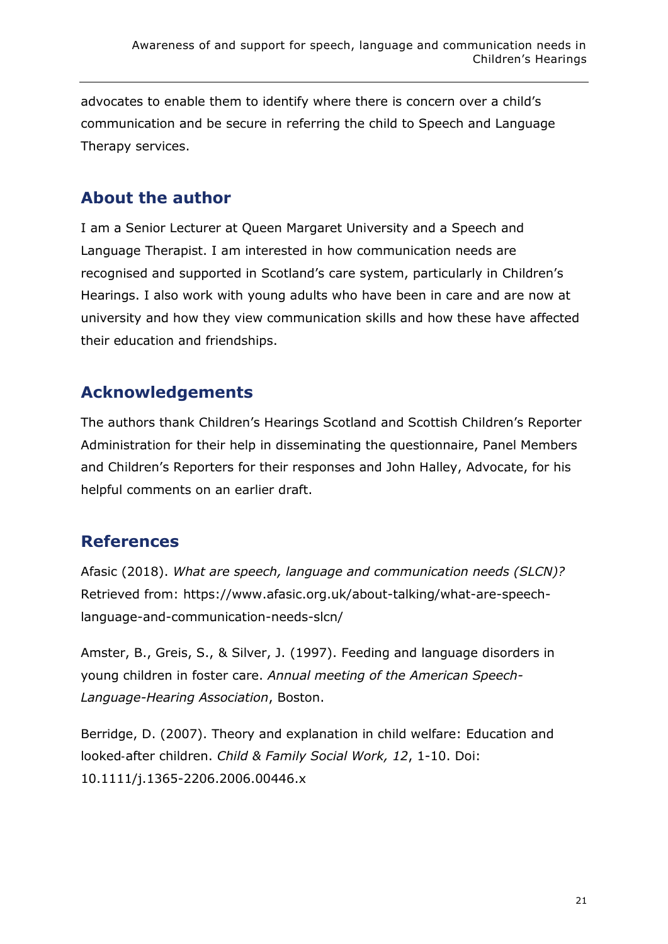advocates to enable them to identify where there is concern over a child's communication and be secure in referring the child to Speech and Language Therapy services.

### **About the author**

I am a Senior Lecturer at Queen Margaret University and a Speech and Language Therapist. I am interested in how communication needs are recognised and supported in Scotland's care system, particularly in Children's Hearings. I also work with young adults who have been in care and are now at university and how they view communication skills and how these have affected their education and friendships.

# **Acknowledgements**

The authors thank Children's Hearings Scotland and Scottish Children's Reporter Administration for their help in disseminating the questionnaire, Panel Members and Children's Reporters for their responses and John Halley, Advocate, for his helpful comments on an earlier draft.

### **References**

Afasic (2018). *What are speech, language and communication needs (SLCN)?* Retrieved from: [https://www.afasic.org.uk/about-talking/what-are-speech](https://www.afasic.org.uk/about-talking/what-are-speech-language-and-communication-needs-slcn/)[language-and-communication-needs-slcn/](https://www.afasic.org.uk/about-talking/what-are-speech-language-and-communication-needs-slcn/)

Amster, B., Greis, S., & Silver, J. (1997). Feeding and language disorders in young children in foster care. *Annual meeting of the American Speech-Language-Hearing Association*, Boston.

Berridge, D. (2007). Theory and explanation in child welfare: Education and looked‐after children. *Child & Family Social Work, 12*, 1-10. Doi: 10.1111/j.1365-2206.2006.00446.x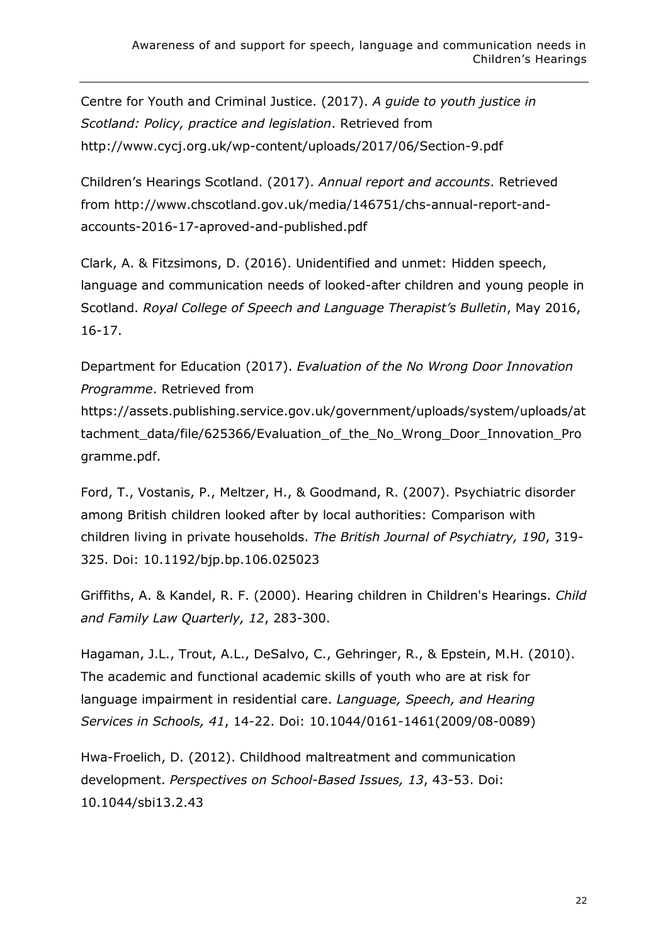Centre for Youth and Criminal Justice. (2017). *A guide to youth justice in Scotland: Policy, practice and legislation*. Retrieved from <http://www.cycj.org.uk/wp-content/uploads/2017/06/Section-9.pdf>

Children's Hearings Scotland. (2017). *Annual report and accounts*. Retrieved from [http://www.chscotland.gov.uk/media/146751/chs-annual-report-and](http://www.chscotland.gov.uk/media/146751/chs-annual-report-and-accounts-2016-17-aproved-and-published.pdf)[accounts-2016-17-aproved-and-published.pdf](http://www.chscotland.gov.uk/media/146751/chs-annual-report-and-accounts-2016-17-aproved-and-published.pdf)

Clark, A. & Fitzsimons, D. (2016). Unidentified and unmet: Hidden speech, language and communication needs of looked-after children and young people in Scotland. *Royal College of Speech and Language Therapist's Bulletin*, May 2016, 16-17.

Department for Education (2017). *Evaluation of the No Wrong Door Innovation Programme*. Retrieved from

[https://assets.publishing.service.gov.uk/government/uploads/system/uploads/at](https://assets.publishing.service.gov.uk/government/uploads/system/uploads/attachment_data/file/625366/Evaluation_of_the_No_Wrong_Door_Innovation_Programme.pdf) [tachment\\_data/file/625366/Evaluation\\_of\\_the\\_No\\_Wrong\\_Door\\_Innovation\\_Pro](https://assets.publishing.service.gov.uk/government/uploads/system/uploads/attachment_data/file/625366/Evaluation_of_the_No_Wrong_Door_Innovation_Programme.pdf) [gramme.pdf.](https://assets.publishing.service.gov.uk/government/uploads/system/uploads/attachment_data/file/625366/Evaluation_of_the_No_Wrong_Door_Innovation_Programme.pdf)

Ford, T., Vostanis, P., Meltzer, H., & Goodmand, R. (2007). Psychiatric disorder among British children looked after by local authorities: Comparison with children living in private households. *The British Journal of Psychiatry, 190*, 319- 325. Doi: 10.1192/bjp.bp.106.025023

Griffiths, A. & Kandel, R. F. (2000). Hearing children in Children's Hearings. *Child and Family Law Quarterly, 12*, 283-300.

Hagaman, J.L., Trout, A.L., DeSalvo, C., Gehringer, R., & Epstein, M.H. (2010). The academic and functional academic skills of youth who are at risk for language impairment in residential care. *Language, Speech, and Hearing Services in Schools, 41*, 14-22. Doi: 10.1044/0161-1461(2009/08-0089)

Hwa-Froelich, D. (2012). Childhood maltreatment and communication development. *Perspectives on School-Based Issues, 13*, 43-53. Doi: 10.1044/sbi13.2.43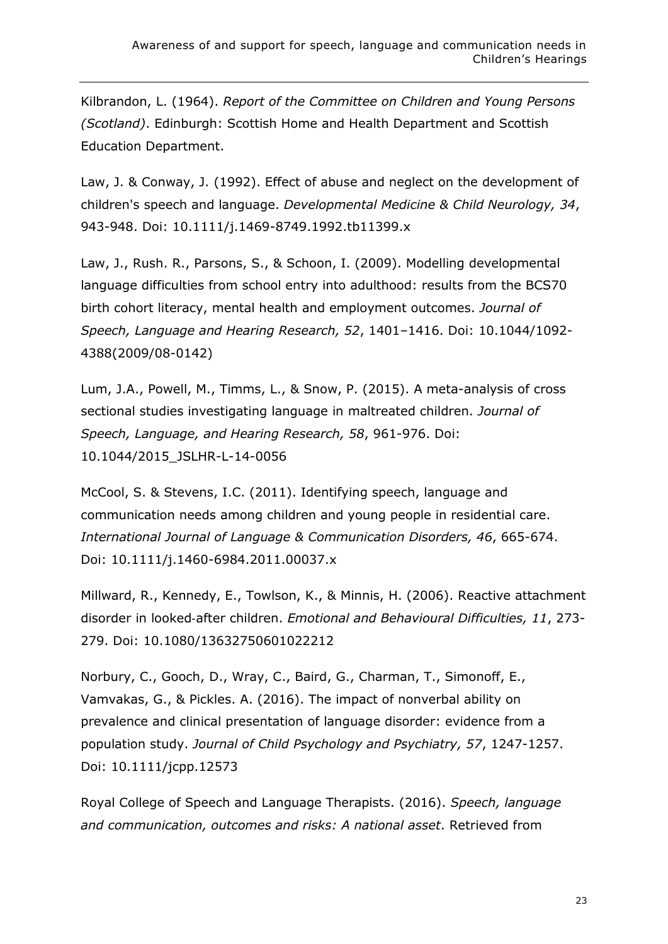Kilbrandon, L. (1964). *Report of the Committee on Children and Young Persons (Scotland)*. Edinburgh: Scottish Home and Health Department and Scottish Education Department.

Law, J. & Conway, J. (1992). Effect of abuse and neglect on the development of children's speech and language. *Developmental Medicine & Child Neurology, 34*, 943-948. Doi: 10.1111/j.1469-8749.1992.tb11399.x

Law, J., Rush. R., Parsons, S., & Schoon, I. (2009). Modelling developmental language difficulties from school entry into adulthood: results from the BCS70 birth cohort literacy, mental health and employment outcomes. *Journal of Speech, Language and Hearing Research, 52*, 1401–1416. Doi: 10.1044/1092- 4388(2009/08-0142)

Lum, J.A., Powell, M., Timms, L., & Snow, P. (2015). A meta-analysis of cross sectional studies investigating language in maltreated children. *Journal of Speech, Language, and Hearing Research, 58*, 961-976. Doi: 10.1044/2015\_JSLHR-L-14-0056

McCool, S. & Stevens, I.C. (2011). Identifying speech, language and communication needs among children and young people in residential care. *International Journal of Language & Communication Disorders, 46*, 665-674. Doi: 10.1111/j.1460-6984.2011.00037.x

Millward, R., Kennedy, E., Towlson, K., & Minnis, H. (2006). Reactive attachment disorder in looked‐after children. *Emotional and Behavioural Difficulties, 11*, 273- 279. Doi: 10.1080/13632750601022212

[Norbury,](https://onlinelibrary.wiley.com/action/doSearch?ContribAuthorStored=Norbury%2C+Courtenay+Frazier) C., [Gooch,](https://onlinelibrary.wiley.com/action/doSearch?ContribAuthorStored=Gooch%2C+Debbie) D., [Wray,](https://onlinelibrary.wiley.com/action/doSearch?ContribAuthorStored=Wray%2C+Charlotte) C., [Baird,](https://onlinelibrary.wiley.com/action/doSearch?ContribAuthorStored=Baird%2C+Gillian) G., [Charman,](https://onlinelibrary.wiley.com/action/doSearch?ContribAuthorStored=Charman%2C+Tony) T., [Simonoff,](https://onlinelibrary.wiley.com/action/doSearch?ContribAuthorStored=Simonoff%2C+Emily) E., [Vamvakas,](https://onlinelibrary.wiley.com/action/doSearch?ContribAuthorStored=Vamvakas%2C+George) G., & [Pickles.](https://onlinelibrary.wiley.com/action/doSearch?ContribAuthorStored=Pickles%2C+Andrew) A. (2016). The impact of nonverbal ability on prevalence and clinical presentation of language disorder: evidence from a population study. *Journal of Child Psychology and Psychiatry, 57*, 1247-1257. Doi: 10.1111/jcpp.12573

Royal College of Speech and Language Therapists. (2016). *Speech, language and communication, outcomes and risks: A national asset*. Retrieved from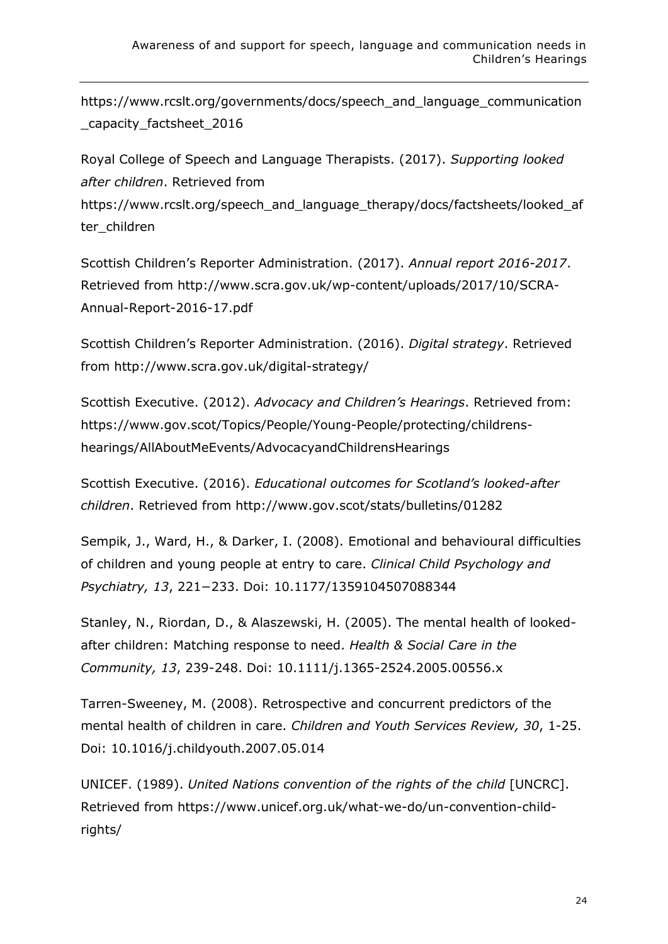[https://www.rcslt.org/governments/docs/speech\\_and\\_language\\_communication](https://www.rcslt.org/governments/docs/speech_and_language_communication_capacity_factsheet_2016) [\\_capacity\\_factsheet\\_2016](https://www.rcslt.org/governments/docs/speech_and_language_communication_capacity_factsheet_2016)

Royal College of Speech and Language Therapists. (2017). *Supporting looked after children*. Retrieved from [https://www.rcslt.org/speech\\_and\\_language\\_therapy/docs/factsheets/looked\\_af](https://www.rcslt.org/speech_and_language_therapy/docs/factsheets/looked_after_children) [ter\\_children](https://www.rcslt.org/speech_and_language_therapy/docs/factsheets/looked_after_children)

Scottish Children's Reporter Administration. (2017). *Annual report 2016-2017*. Retrieved from [http://www.scra.gov.uk/wp-content/uploads/2017/10/SCRA-](http://www.scra.gov.uk/wp-content/uploads/2017/10/SCRA-Annual-Report-2016-17.pdf)[Annual-Report-2016-17.pdf](http://www.scra.gov.uk/wp-content/uploads/2017/10/SCRA-Annual-Report-2016-17.pdf)

Scottish Children's Reporter Administration. (2016). *Digital strategy*. Retrieved from<http://www.scra.gov.uk/digital-strategy/>

Scottish Executive. (2012). *Advocacy and Children's Hearings*. Retrieved from: https://www.gov.scot/Topics/People/Young-People/protecting/childrenshearings/AllAboutMeEvents/AdvocacyandChildrensHearings

Scottish Executive. (2016). *Educational outcomes for Scotland's looked-after children*. Retrieved from<http://www.gov.scot/stats/bulletins/01282>

Sempik, J., Ward, H., & Darker, I. (2008). Emotional and behavioural difficulties of children and young people at entry to care. *Clinical Child Psychology and Psychiatry, 13*, 221−233. Doi: 10.1177/1359104507088344

Stanley, N., Riordan, D., & Alaszewski, H. (2005). The mental health of lookedafter children: Matching response to need. *Health & Social Care in the Community, 13*, 239-248. Doi: 10.1111/j.1365-2524.2005.00556.x

Tarren-Sweeney, M. (2008). Retrospective and concurrent predictors of the mental health of children in care. *Children and Youth Services Review, 30*, 1-25. Doi: 10.1016/j.childyouth.2007.05.014

UNICEF. (1989). *United Nations convention of the rights of the child* [UNCRC]. Retrieved from [https://www.unicef.org.uk/what-we-do/un-convention-child](https://www.unicef.org.uk/what-we-do/un-convention-child-rights/)[rights/](https://www.unicef.org.uk/what-we-do/un-convention-child-rights/)